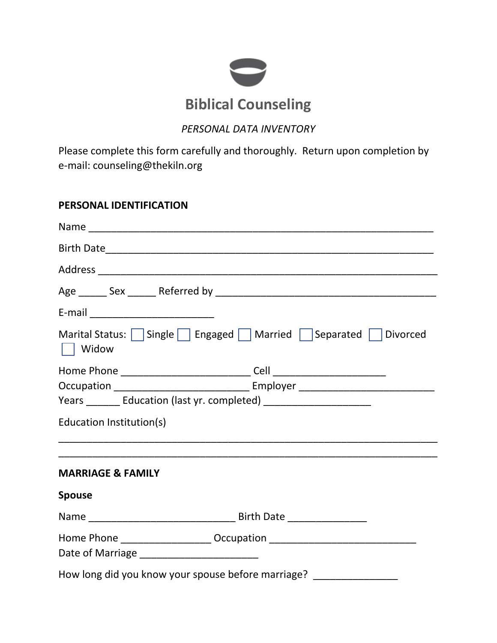

## *PERSONAL DATA INVENTORY*

Please complete this form carefully and thoroughly. Return upon completion by e-mail: counseling@thekiln.org

### **PERSONAL IDENTIFICATION**

| Widow                                                                            | Marital Status: $\Box$ Single $\Box$ Engaged $\Box$ Married $\Box$ Separated $\Box$ Divorced |
|----------------------------------------------------------------------------------|----------------------------------------------------------------------------------------------|
|                                                                                  |                                                                                              |
|                                                                                  |                                                                                              |
| Years ________ Education (last yr. completed) __________________________________ |                                                                                              |
| Education Institution(s)                                                         |                                                                                              |
|                                                                                  |                                                                                              |
| <b>MARRIAGE &amp; FAMILY</b>                                                     |                                                                                              |
| <b>Spouse</b>                                                                    |                                                                                              |
|                                                                                  |                                                                                              |
| Home Phone ______________________ Occupation ___________________________________ |                                                                                              |
| How long did you know your spouse before marriage? ________________              |                                                                                              |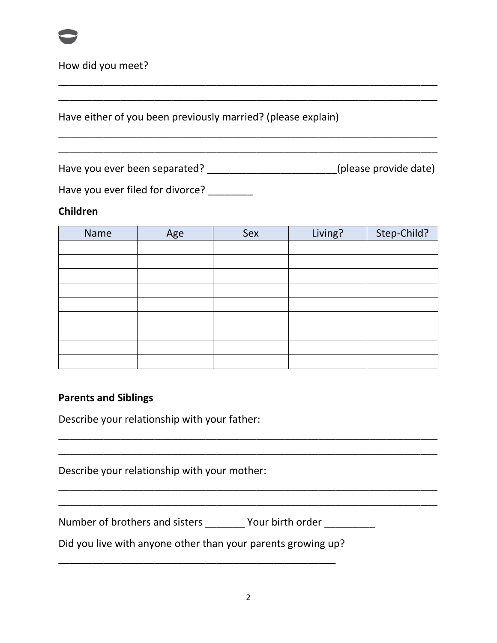

How did you meet?

Have either of you been previously married? (please explain)

Have you ever been separated? \_\_\_\_\_\_\_\_\_\_\_\_\_\_\_\_\_\_\_\_\_\_\_\_(please provide date)

\_\_\_\_\_\_\_\_\_\_\_\_\_\_\_\_\_\_\_\_\_\_\_\_\_\_\_\_\_\_\_\_\_\_\_\_\_\_\_\_\_\_\_\_\_\_\_\_\_\_\_\_\_\_\_\_\_\_\_\_\_\_\_\_\_\_\_ \_\_\_\_\_\_\_\_\_\_\_\_\_\_\_\_\_\_\_\_\_\_\_\_\_\_\_\_\_\_\_\_\_\_\_\_\_\_\_\_\_\_\_\_\_\_\_\_\_\_\_\_\_\_\_\_\_\_\_\_\_\_\_\_\_\_\_

\_\_\_\_\_\_\_\_\_\_\_\_\_\_\_\_\_\_\_\_\_\_\_\_\_\_\_\_\_\_\_\_\_\_\_\_\_\_\_\_\_\_\_\_\_\_\_\_\_\_\_\_\_\_\_\_\_\_\_\_\_\_\_\_\_\_\_ \_\_\_\_\_\_\_\_\_\_\_\_\_\_\_\_\_\_\_\_\_\_\_\_\_\_\_\_\_\_\_\_\_\_\_\_\_\_\_\_\_\_\_\_\_\_\_\_\_\_\_\_\_\_\_\_\_\_\_\_\_\_\_\_\_\_\_

Have you ever filed for divorce? \_\_\_\_\_\_\_

## **Children**

| Name | Age | Sex | Living? | Step-Child? |
|------|-----|-----|---------|-------------|
|      |     |     |         |             |
|      |     |     |         |             |
|      |     |     |         |             |
|      |     |     |         |             |
|      |     |     |         |             |
|      |     |     |         |             |
|      |     |     |         |             |
|      |     |     |         |             |
|      |     |     |         |             |

\_\_\_\_\_\_\_\_\_\_\_\_\_\_\_\_\_\_\_\_\_\_\_\_\_\_\_\_\_\_\_\_\_\_\_\_\_\_\_\_\_\_\_\_\_\_\_\_\_\_\_\_\_\_\_\_\_\_\_\_\_\_\_\_\_\_\_ \_\_\_\_\_\_\_\_\_\_\_\_\_\_\_\_\_\_\_\_\_\_\_\_\_\_\_\_\_\_\_\_\_\_\_\_\_\_\_\_\_\_\_\_\_\_\_\_\_\_\_\_\_\_\_\_\_\_\_\_\_\_\_\_\_\_\_

\_\_\_\_\_\_\_\_\_\_\_\_\_\_\_\_\_\_\_\_\_\_\_\_\_\_\_\_\_\_\_\_\_\_\_\_\_\_\_\_\_\_\_\_\_\_\_\_\_\_\_\_\_\_\_\_\_\_\_\_\_\_\_\_\_\_\_ \_\_\_\_\_\_\_\_\_\_\_\_\_\_\_\_\_\_\_\_\_\_\_\_\_\_\_\_\_\_\_\_\_\_\_\_\_\_\_\_\_\_\_\_\_\_\_\_\_\_\_\_\_\_\_\_\_\_\_\_\_\_\_\_\_\_\_

## **Parents and Siblings**

Describe your relationship with your father:

Describe your relationship with your mother:

Number of brothers and sisters \_\_\_\_\_\_\_\_ Your birth order \_\_\_\_\_\_\_\_

Did you live with anyone other than your parents growing up?

\_\_\_\_\_\_\_\_\_\_\_\_\_\_\_\_\_\_\_\_\_\_\_\_\_\_\_\_\_\_\_\_\_\_\_\_\_\_\_\_\_\_\_\_\_\_\_\_\_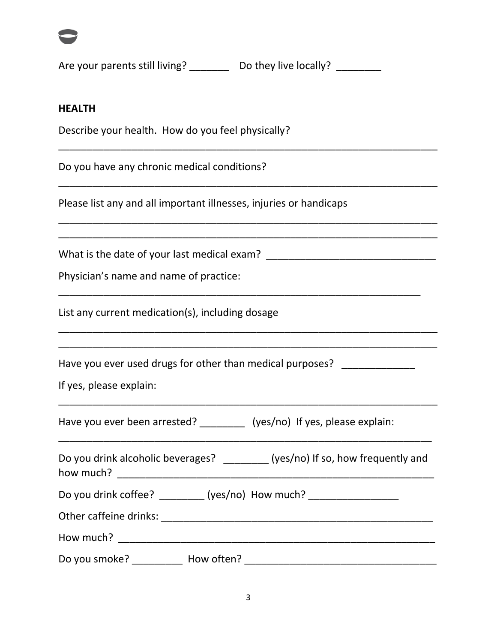

Are your parents still living? Do they live locally? \_\_\_\_\_\_\_\_

\_\_\_\_\_\_\_\_\_\_\_\_\_\_\_\_\_\_\_\_\_\_\_\_\_\_\_\_\_\_\_\_\_\_\_\_\_\_\_\_\_\_\_\_\_\_\_\_\_\_\_\_\_\_\_\_\_\_\_\_\_\_\_\_\_\_\_

\_\_\_\_\_\_\_\_\_\_\_\_\_\_\_\_\_\_\_\_\_\_\_\_\_\_\_\_\_\_\_\_\_\_\_\_\_\_\_\_\_\_\_\_\_\_\_\_\_\_\_\_\_\_\_\_\_\_\_\_\_\_\_\_\_\_\_

\_\_\_\_\_\_\_\_\_\_\_\_\_\_\_\_\_\_\_\_\_\_\_\_\_\_\_\_\_\_\_\_\_\_\_\_\_\_\_\_\_\_\_\_\_\_\_\_\_\_\_\_\_\_\_\_\_\_\_\_\_\_\_\_\_\_\_ \_\_\_\_\_\_\_\_\_\_\_\_\_\_\_\_\_\_\_\_\_\_\_\_\_\_\_\_\_\_\_\_\_\_\_\_\_\_\_\_\_\_\_\_\_\_\_\_\_\_\_\_\_\_\_\_\_\_\_\_\_\_\_\_\_\_\_

\_\_\_\_\_\_\_\_\_\_\_\_\_\_\_\_\_\_\_\_\_\_\_\_\_\_\_\_\_\_\_\_\_\_\_\_\_\_\_\_\_\_\_\_\_\_\_\_\_\_\_\_\_\_\_\_\_\_\_\_\_\_\_\_

\_\_\_\_\_\_\_\_\_\_\_\_\_\_\_\_\_\_\_\_\_\_\_\_\_\_\_\_\_\_\_\_\_\_\_\_\_\_\_\_\_\_\_\_\_\_\_\_\_\_\_\_\_\_\_\_\_\_\_\_\_\_\_\_\_\_\_

\_\_\_\_\_\_\_\_\_\_\_\_\_\_\_\_\_\_\_\_\_\_\_\_\_\_\_\_\_\_\_\_\_\_\_\_\_\_\_\_\_\_\_\_\_\_\_\_\_\_\_\_\_\_\_\_\_\_\_\_\_\_\_\_\_\_\_

### **HEALTH**

Describe your health. How do you feel physically?

Do you have any chronic medical conditions?

Please list any and all important illnesses, injuries or handicaps

What is the date of your last medical exam? \_\_\_\_\_\_\_\_\_\_\_\_\_\_\_\_\_\_\_\_\_\_\_\_\_\_\_\_\_\_

Physician's name and name of practice:

List any current medication(s), including dosage

Have you ever used drugs for other than medical purposes?

If yes, please explain:

Have you ever been arrested? \_\_\_\_\_\_\_\_\_\_ (yes/no) If yes, please explain:

| Do you drink alcoholic beverages? | (yes/no) If so, how frequently and |
|-----------------------------------|------------------------------------|
| how much?                         |                                    |

\_\_\_\_\_\_\_\_\_\_\_\_\_\_\_\_\_\_\_\_\_\_\_\_\_\_\_\_\_\_\_\_\_\_\_\_\_\_\_\_\_\_\_\_\_\_\_\_\_\_\_\_\_\_\_\_\_\_\_\_\_\_\_\_\_\_

Do you drink coffee? \_\_\_\_\_\_\_\_ (yes/no) How much? \_\_\_\_\_\_\_\_\_\_\_\_\_\_\_\_\_

Other caffeine drinks: \_\_\_\_\_\_\_\_\_\_\_\_\_\_\_\_\_\_\_\_\_\_\_\_\_\_\_\_\_\_\_\_\_\_\_\_\_\_\_\_\_\_\_\_\_\_\_\_

How much? \_\_\_\_\_\_\_\_\_\_\_\_\_\_\_\_\_\_\_\_\_\_\_\_\_\_\_\_\_\_\_\_\_\_\_\_\_\_\_\_\_\_\_\_\_\_\_\_\_\_\_\_\_\_\_\_

Do you smoke? \_\_\_\_\_\_\_\_\_ How often? \_\_\_\_\_\_\_\_\_\_\_\_\_\_\_\_\_\_\_\_\_\_\_\_\_\_\_\_\_\_\_\_\_\_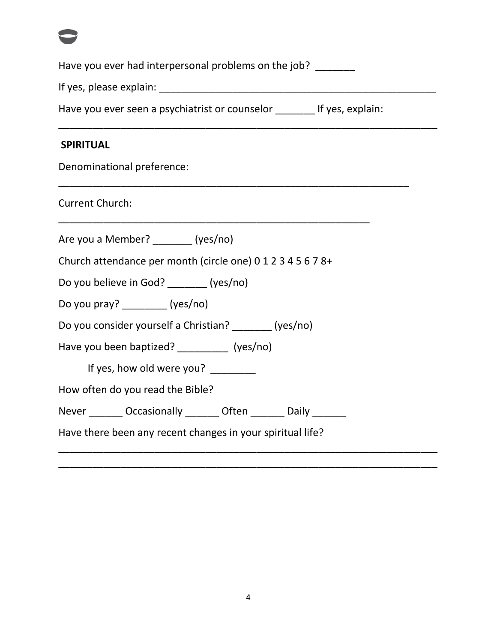Have you ever had interpersonal problems on the job? \_\_\_\_\_\_\_

If yes, please explain: \_\_\_\_\_\_\_\_\_\_\_\_\_\_\_\_\_\_\_\_\_\_\_\_\_\_\_\_\_\_\_\_\_\_\_\_\_\_\_\_\_\_\_\_\_\_\_\_\_

Have you ever seen a psychiatrist or counselor \_\_\_\_\_\_\_ If yes, explain:

\_\_\_\_\_\_\_\_\_\_\_\_\_\_\_\_\_\_\_\_\_\_\_\_\_\_\_\_\_\_\_\_\_\_\_\_\_\_\_\_\_\_\_\_\_\_\_\_\_\_\_\_\_\_\_\_\_\_\_\_\_\_\_\_\_\_\_

\_\_\_\_\_\_\_\_\_\_\_\_\_\_\_\_\_\_\_\_\_\_\_\_\_\_\_\_\_\_\_\_\_\_\_\_\_\_\_\_\_\_\_\_\_\_\_\_\_\_\_\_\_\_\_\_\_\_\_\_\_\_

\_\_\_\_\_\_\_\_\_\_\_\_\_\_\_\_\_\_\_\_\_\_\_\_\_\_\_\_\_\_\_\_\_\_\_\_\_\_\_\_\_\_\_\_\_\_\_\_\_\_\_\_\_\_\_

## **SPIRITUAL**

Denominational preference:

Current Church:

Are you a Member? \_\_\_\_\_\_\_ (yes/no)

Church attendance per month (circle one) 0 1 2 3 4 5 6 7 8+

Do you believe in God? \_\_\_\_\_\_\_ (yes/no)

Do you pray? (yes/no)

Do you consider yourself a Christian? \_\_\_\_\_\_\_ (yes/no)

Have you been baptized? [yes/no]

If yes, how old were you?

How often do you read the Bible?

Never \_\_\_\_\_\_\_ Occasionally \_\_\_\_\_\_ Often \_\_\_\_\_\_ Daily \_\_\_\_\_\_

Have there been any recent changes in your spiritual life?

\_\_\_\_\_\_\_\_\_\_\_\_\_\_\_\_\_\_\_\_\_\_\_\_\_\_\_\_\_\_\_\_\_\_\_\_\_\_\_\_\_\_\_\_\_\_\_\_\_\_\_\_\_\_\_\_\_\_\_\_\_\_\_\_\_\_\_ \_\_\_\_\_\_\_\_\_\_\_\_\_\_\_\_\_\_\_\_\_\_\_\_\_\_\_\_\_\_\_\_\_\_\_\_\_\_\_\_\_\_\_\_\_\_\_\_\_\_\_\_\_\_\_\_\_\_\_\_\_\_\_\_\_\_\_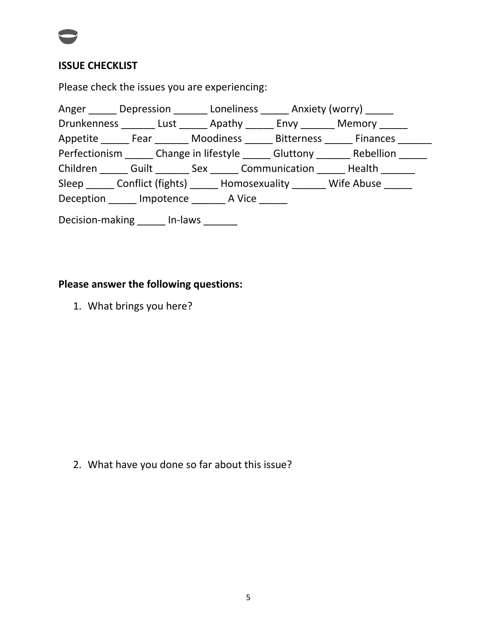

## **ISSUE CHECKLIST**

Please check the issues you are experiencing:

|  | Anger ______ Depression _______ Loneliness ______ Anxiety (worry) ______          |  |  |
|--|-----------------------------------------------------------------------------------|--|--|
|  | Drunkenness Lust Apathy Envy Memory                                               |  |  |
|  | Appetite _______ Fear ________ Moodiness ______ Bitterness ______ Finances ______ |  |  |
|  | Perfectionism _______ Change in lifestyle ______ Gluttony _______ Rebellion _____ |  |  |
|  | Children Guilt Sex Communication Health                                           |  |  |
|  | Sleep Conflict (fights) Homosexuality Wife Abuse                                  |  |  |
|  | Deception Impotence A Vice                                                        |  |  |
|  |                                                                                   |  |  |

Decision-making \_\_\_\_\_\_ In-laws \_\_\_\_\_\_

# **Please answer the following questions:**

1. What brings you here?

2. What have you done so far about this issue?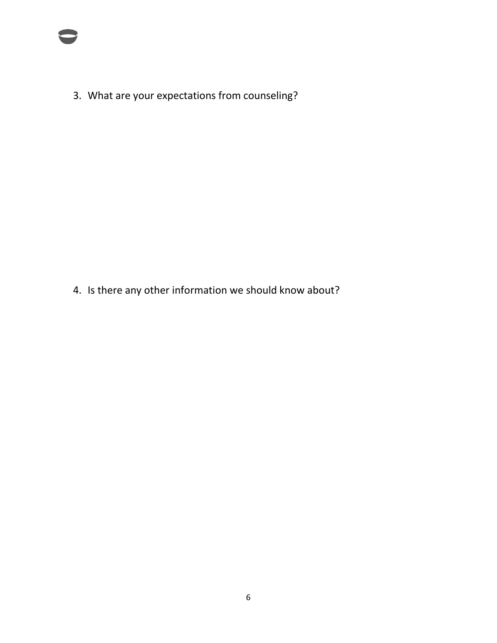3. What are your expectations from counseling?

4. Is there any other information we should know about?